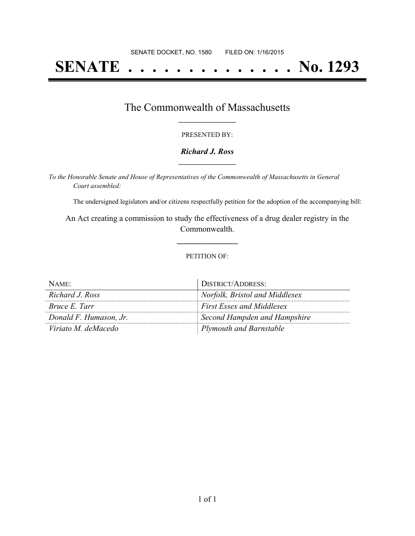# **SENATE . . . . . . . . . . . . . . No. 1293**

### The Commonwealth of Massachusetts **\_\_\_\_\_\_\_\_\_\_\_\_\_\_\_\_\_**

#### PRESENTED BY:

#### *Richard J. Ross* **\_\_\_\_\_\_\_\_\_\_\_\_\_\_\_\_\_**

*To the Honorable Senate and House of Representatives of the Commonwealth of Massachusetts in General Court assembled:*

The undersigned legislators and/or citizens respectfully petition for the adoption of the accompanying bill:

An Act creating a commission to study the effectiveness of a drug dealer registry in the Commonwealth.

**\_\_\_\_\_\_\_\_\_\_\_\_\_\_\_**

#### PETITION OF:

| NAME:                  | DISTRICT/ADDRESS:                |
|------------------------|----------------------------------|
| Richard J. Ross        | Norfolk, Bristol and Middlesex   |
| <i>Bruce E. Tarr</i>   | <b>First Essex and Middlesex</b> |
| Donald F. Humason, Jr. | Second Hampden and Hampshire     |
| Viriato M. deMacedo    | Plymouth and Barnstable          |

 $\mathbf{r}$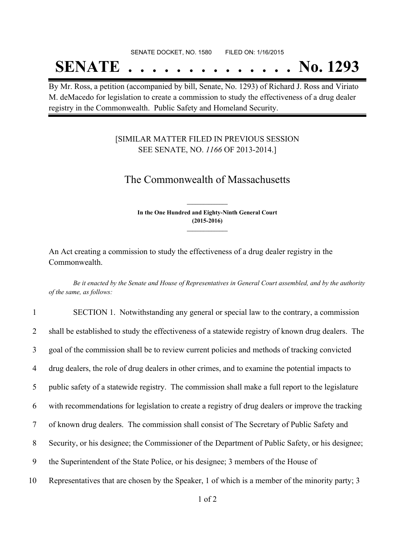#### SENATE DOCKET, NO. 1580 FILED ON: 1/16/2015

## **SENATE . . . . . . . . . . . . . . No. 1293**

By Mr. Ross, a petition (accompanied by bill, Senate, No. 1293) of Richard J. Ross and Viriato M. deMacedo for legislation to create a commission to study the effectiveness of a drug dealer registry in the Commonwealth. Public Safety and Homeland Security.

### [SIMILAR MATTER FILED IN PREVIOUS SESSION SEE SENATE, NO. *1166* OF 2013-2014.]

## The Commonwealth of Massachusetts

**In the One Hundred and Eighty-Ninth General Court (2015-2016) \_\_\_\_\_\_\_\_\_\_\_\_\_\_\_**

**\_\_\_\_\_\_\_\_\_\_\_\_\_\_\_**

An Act creating a commission to study the effectiveness of a drug dealer registry in the Commonwealth.

Be it enacted by the Senate and House of Representatives in General Court assembled, and by the authority *of the same, as follows:*

| $\mathbf{1}$ | SECTION 1. Notwithstanding any general or special law to the contrary, a commission                |
|--------------|----------------------------------------------------------------------------------------------------|
| 2            | shall be established to study the effectiveness of a statewide registry of known drug dealers. The |
| 3            | goal of the commission shall be to review current policies and methods of tracking convicted       |
| 4            | drug dealers, the role of drug dealers in other crimes, and to examine the potential impacts to    |
| 5            | public safety of a statewide registry. The commission shall make a full report to the legislature  |
| 6            | with recommendations for legislation to create a registry of drug dealers or improve the tracking  |
| 7            | of known drug dealers. The commission shall consist of The Secretary of Public Safety and          |
| 8            | Security, or his designee; the Commissioner of the Department of Public Safety, or his designee;   |
| 9            | the Superintendent of the State Police, or his designee; 3 members of the House of                 |
| 10           | Representatives that are chosen by the Speaker, 1 of which is a member of the minority party; 3    |